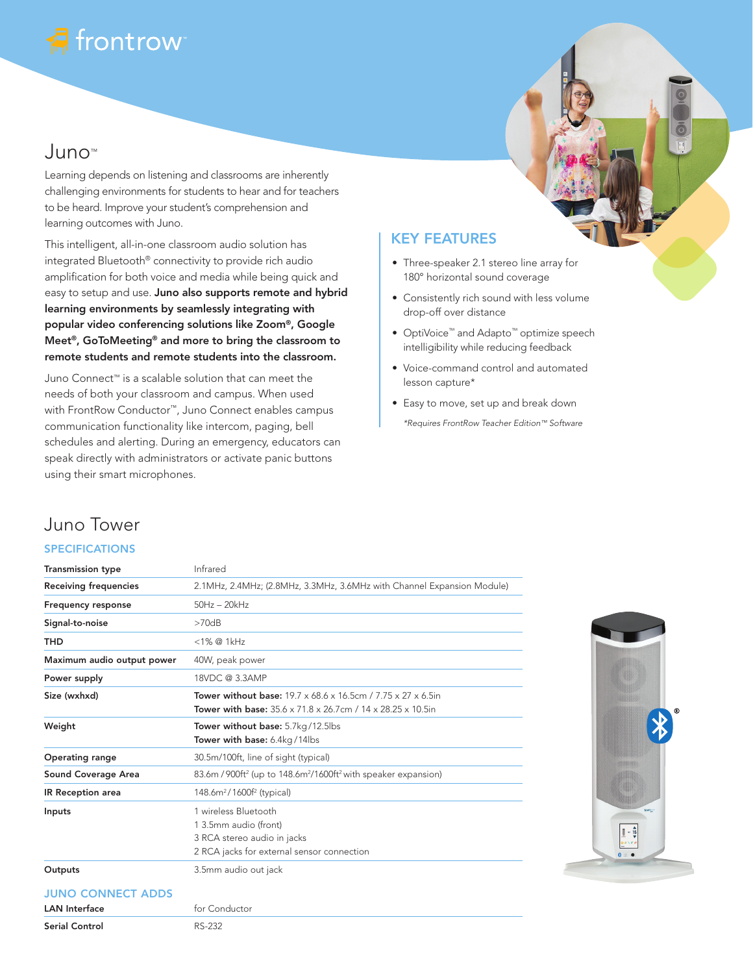# frontrow

## Juno™

Learning depends on listening and classrooms are inherently challenging environments for students to hear and for teachers to be heard. Improve your student's comprehension and learning outcomes with Juno.

This intelligent, all-in-one classroom audio solution has integrated Bluetooth® connectivity to provide rich audio amplification for both voice and media while being quick and easy to setup and use. Juno also supports remote and hybrid learning environments by seamlessly integrating with popular video conferencing solutions like Zoom®, Google Meet®, GoToMeeting® and more to bring the classroom to remote students and remote students into the classroom.

Juno Connect™ is a scalable solution that can meet the needs of both your classroom and campus. When used with FrontRow Conductor™, Juno Connect enables campus communication functionality like intercom, paging, bell schedules and alerting. During an emergency, educators can speak directly with administrators or activate panic buttons using their smart microphones.

### KEY FEATURES

- Three-speaker 2.1 stereo line array for 180° horizontal sound coverage
- Consistently rich sound with less volume drop-off over distance
- OptiVoice™ and Adapto™ optimize speech intelligibility while reducing feedback
- Voice-command control and automated lesson capture\*
- Easy to move, set up and break down *\*Requires FrontRow Teacher Edition™ Software*

### Juno Tower

#### SPECIFICATIONS

| <b>Transmission type</b>                         | Infrared                                                                                                                                  |
|--------------------------------------------------|-------------------------------------------------------------------------------------------------------------------------------------------|
| <b>Receiving frequencies</b>                     | 2.1MHz, 2.4MHz; (2.8MHz, 3.3MHz, 3.6MHz with Channel Expansion Module)                                                                    |
| <b>Frequency response</b>                        | $50Hz - 20kHz$                                                                                                                            |
| Signal-to-noise                                  | >70dB                                                                                                                                     |
| <b>THD</b>                                       | <1% @ 1kHz                                                                                                                                |
| Maximum audio output power                       | 40W, peak power                                                                                                                           |
| Power supply                                     | 18VDC @ 3.3AMP                                                                                                                            |
| Size (wxhxd)                                     | <b>Tower without base: 19.7 x 68.6 x 16.5cm / 7.75 x 27 x 6.5in</b><br><b>Tower with base:</b> 35.6 x 71.8 x 26.7cm / 14 x 28.25 x 10.5in |
| Weight                                           | Tower without base: 5.7kg/12.5lbs<br>Tower with base: 6.4kg/14lbs                                                                         |
| <b>Operating range</b>                           | 30.5m/100ft, line of sight (typical)                                                                                                      |
| Sound Coverage Area                              | 83.6m / 900ft <sup>2</sup> (up to 148.6m <sup>2</sup> /1600ft <sup>2</sup> with speaker expansion)                                        |
| IR Reception area                                | 148.6m <sup>2</sup> /1600f <sup>2</sup> (typical)                                                                                         |
| Inputs                                           | 1 wireless Bluetooth<br>1 3.5mm audio (front)<br>3 RCA stereo audio in jacks<br>2 RCA jacks for external sensor connection                |
| Outputs                                          | 3.5mm audio out jack                                                                                                                      |
| <b>JUNO CONNECT ADDS</b><br><b>LAN</b> Interface | for Conductor                                                                                                                             |



Serial Control RS-232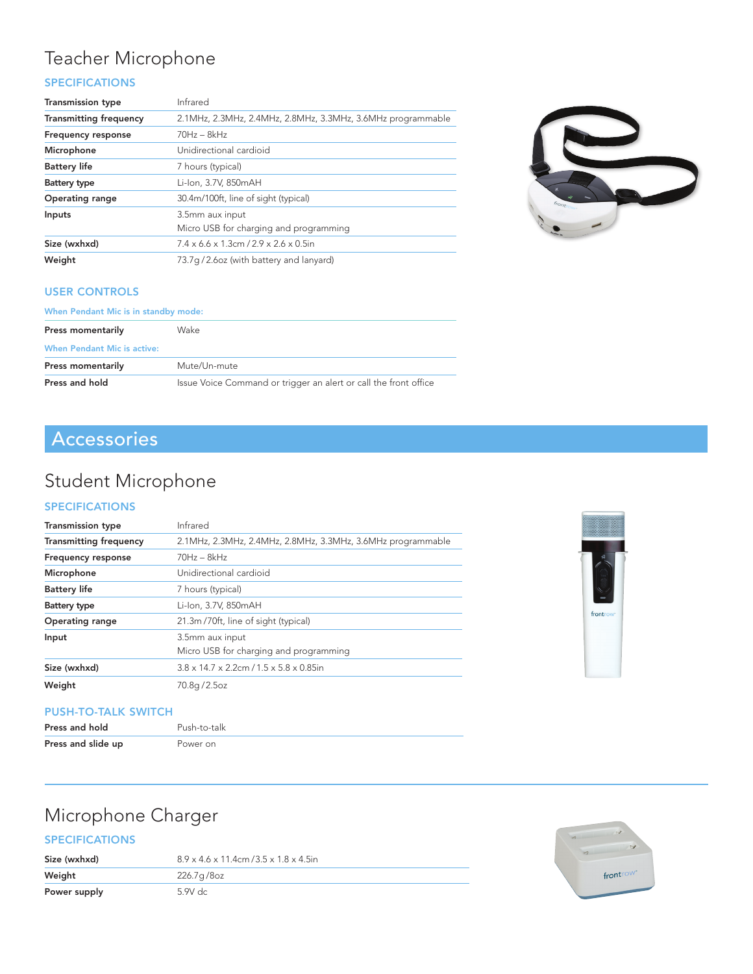### Teacher Microphone

### SPECIFICATIONS

| <b>Transmission type</b>      | Infrared                                                       |
|-------------------------------|----------------------------------------------------------------|
| <b>Transmitting frequency</b> | 2.1MHz, 2.3MHz, 2.4MHz, 2.8MHz, 3.3MHz, 3.6MHz programmable    |
| <b>Frequency response</b>     | $70Hz - 8kHz$                                                  |
| Microphone                    | Unidirectional cardioid                                        |
| <b>Battery life</b>           | 7 hours (typical)                                              |
| Battery type                  | Li-Ion, 3.7V, 850mAH                                           |
| <b>Operating range</b>        | 30.4m/100ft, line of sight (typical)                           |
| Inputs                        | 3.5mm aux input<br>Micro USB for charging and programming      |
| Size (wxhxd)                  | $7.4 \times 6.6 \times 1.3$ cm $/2.9 \times 2.6 \times 0.5$ in |
| Weight                        | 73.7q/2.6oz (with battery and lanyard)                         |



#### USER CONTROLS

| When Pendant Mic is in standby mode: |                                                                  |  |
|--------------------------------------|------------------------------------------------------------------|--|
| Press momentarily                    | Wake                                                             |  |
| <b>When Pendant Mic is active:</b>   |                                                                  |  |
| Press momentarily                    | Mute/Un-mute                                                     |  |
| Press and hold                       | Issue Voice Command or trigger an alert or call the front office |  |

### Accessories

### Student Microphone

#### SPECIFICATIONS

| <b>Transmission type</b>      | Infrared                                                         |
|-------------------------------|------------------------------------------------------------------|
| <b>Transmitting frequency</b> | 2.1MHz, 2.3MHz, 2.4MHz, 2.8MHz, 3.3MHz, 3.6MHz programmable      |
| <b>Frequency response</b>     | $70Hz - 8kHz$                                                    |
| Microphone                    | Unidirectional cardioid                                          |
| <b>Battery life</b>           | 7 hours (typical)                                                |
| Battery type                  | Li-Ion, 3.7V, 850mAH                                             |
| <b>Operating range</b>        | 21.3m/70ft, line of sight (typical)                              |
| Input                         | 3.5mm aux input<br>Micro USB for charging and programming        |
| Size (wxhxd)                  | $3.8 \times 14.7 \times 2.2$ cm $/1.5 \times 5.8 \times 0.85$ in |
| Weight                        | 70.8g/2.5oz                                                      |

#### PUSH-TO-TALK SWITCH

| Press and hold     | Push-to-talk |
|--------------------|--------------|
| Press and slide up | Power on     |

## Microphone Charger

#### SPECIFICATIONS

| Size (wxhxd) | $8.9 \times 4.6 \times 11.4$ cm $/3.5 \times 1.8 \times 4.5$ in |
|--------------|-----------------------------------------------------------------|
| Weight       | 226.7g/8oz                                                      |
| Power supply | 5.9V dc                                                         |